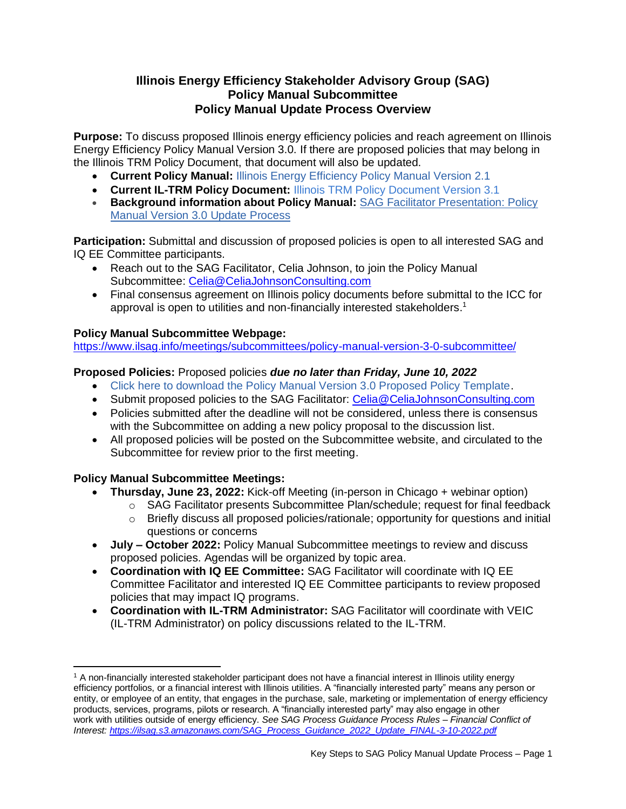## **Illinois Energy Efficiency Stakeholder Advisory Group (SAG) Policy Manual Subcommittee Policy Manual Update Process Overview**

**Purpose:** To discuss proposed Illinois energy efficiency policies and reach agreement on Illinois Energy Efficiency Policy Manual Version 3.0. If there are proposed policies that may belong in the Illinois TRM Policy Document, that document will also be updated.

- **Current Policy Manual:** [Illinois Energy Efficiency Policy Manual Version 2.1](https://ilsag.s3.amazonaws.com/IL_EE_Policy_Manual_Version_2.1_Final_12-7-2021-1.pdf)
- **Current IL-TRM Policy Document:** [Illinois TRM Policy Document Version 3.1](https://ilsag.s3.amazonaws.com/IL-TRM_Policy_Document-Version-3.1_Final_12-6-2021.pdf)
- **Background information about Policy Manual:** [SAG Facilitator Presentation: Policy](https://ilsag.s3.amazonaws.com/SAG-Policy-Manual-Overview-to-Large-Group-SAG_May-4-2022-Meeting_FINAL.pdf)  [Manual Version 3.0 Update Process](https://ilsag.s3.amazonaws.com/SAG-Policy-Manual-Overview-to-Large-Group-SAG_May-4-2022-Meeting_FINAL.pdf)

**Participation:** Submittal and discussion of proposed policies is open to all interested SAG and IQ EE Committee participants.

- Reach out to the SAG Facilitator, Celia Johnson, to join the Policy Manual Subcommittee: [Celia@CeliaJohnsonConsulting.com](mailto:Celia@CeliaJohnsonConsulting.com)
- Final consensus agreement on Illinois policy documents before submittal to the ICC for approval is open to utilities and non-financially interested stakeholders. 1

## **Policy Manual Subcommittee Webpage:**

<https://www.ilsag.info/meetings/subcommittees/policy-manual-version-3-0-subcommittee/>

## **Proposed Policies:** Proposed policies *due no later than Friday, June 10, 2022*

- [Click here to download the Policy Manual Version 3.0 Proposed Policy Template.](https://ilsag.s3.amazonaws.com/SAG-Policy-Manual-Subcommittee_Proposed-Policy-Template_Final-4-27-2022.docx)
- Submit proposed policies to the SAG Facilitator: [Celia@CeliaJohnsonConsulting.com](mailto:Celia@CeliaJohnsonConsulting.com)
- Policies submitted after the deadline will not be considered, unless there is consensus with the Subcommittee on adding a new policy proposal to the discussion list.
- All proposed policies will be posted on the Subcommittee website, and circulated to the Subcommittee for review prior to the first meeting.

## **Policy Manual Subcommittee Meetings:**

- **Thursday, June 23, 2022:** Kick-off Meeting (in-person in Chicago + webinar option)
	- $\circ$  SAG Facilitator presents Subcommittee Plan/schedule; request for final feedback
	- $\circ$  Briefly discuss all proposed policies/rationale; opportunity for questions and initial questions or concerns
- **July – October 2022:** Policy Manual Subcommittee meetings to review and discuss proposed policies. Agendas will be organized by topic area.
- **Coordination with IQ EE Committee:** SAG Facilitator will coordinate with IQ EE Committee Facilitator and interested IQ EE Committee participants to review proposed policies that may impact IQ programs.
- **Coordination with IL-TRM Administrator:** SAG Facilitator will coordinate with VEIC (IL-TRM Administrator) on policy discussions related to the IL-TRM.

<sup>&</sup>lt;sup>1</sup> A non-financially interested stakeholder participant does not have a financial interest in Illinois utility energy efficiency portfolios, or a financial interest with Illinois utilities. A "financially interested party" means any person or entity, or employee of an entity, that engages in the purchase, sale, marketing or implementation of energy efficiency products, services, programs, pilots or research. A "financially interested party" may also engage in other work with utilities outside of energy efficiency. *See SAG Process Guidance Process Rules – Financial Conflict of Interest: [https://ilsag.s3.amazonaws.com/SAG\\_Process\\_Guidance\\_2022\\_Update\\_FINAL-3-10-2022.pdf](https://ilsag.s3.amazonaws.com/SAG_Process_Guidance_2022_Update_FINAL-3-10-2022.pdf)*